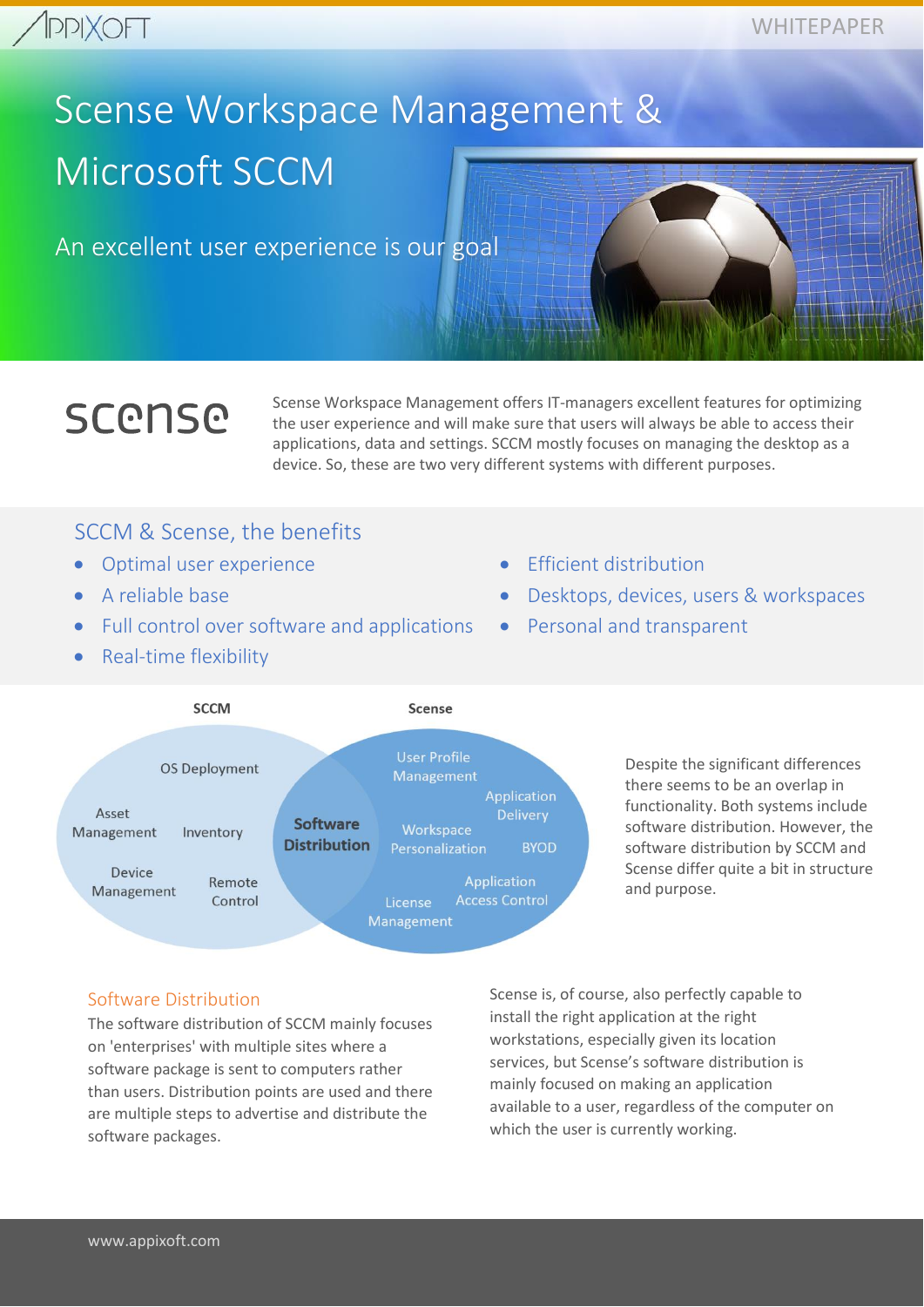# Scense Workspace Management & Microsoft SCCM

An excellent user experience is our goal

# **SCONSO**

Scense Workspace Management offers IT-managers excellent features for optimizing the user experience and will make sure that users will always be able to access their applications, data and settings. SCCM mostly focuses on managing the desktop as a device. So, these are two very different systems with different purposes.

## SCCM & Scense, the benefits

- Optimal user experience
- A reliable base
- Full control over software and applications
- Real-time flexibility
- Efficient distribution
- Desktops, devices, users & workspaces
- Personal and transparent



Despite the significant differences there seems to be an overlap in functionality. Both systems include software distribution. However, the software distribution by SCCM and Scense differ quite a bit in structure and purpose.

### Software Distribution

The software distribution of SCCM mainly focuses on 'enterprises' with multiple sites where a software package is sent to computers rather than users. Distribution points are used and there are multiple steps to advertise and distribute the software packages.

Scense is, of course, also perfectly capable to install the right application at the right workstations, especially given its location services, but Scense's software distribution is mainly focused on making an application available to a user, regardless of the computer on which the user is currently working.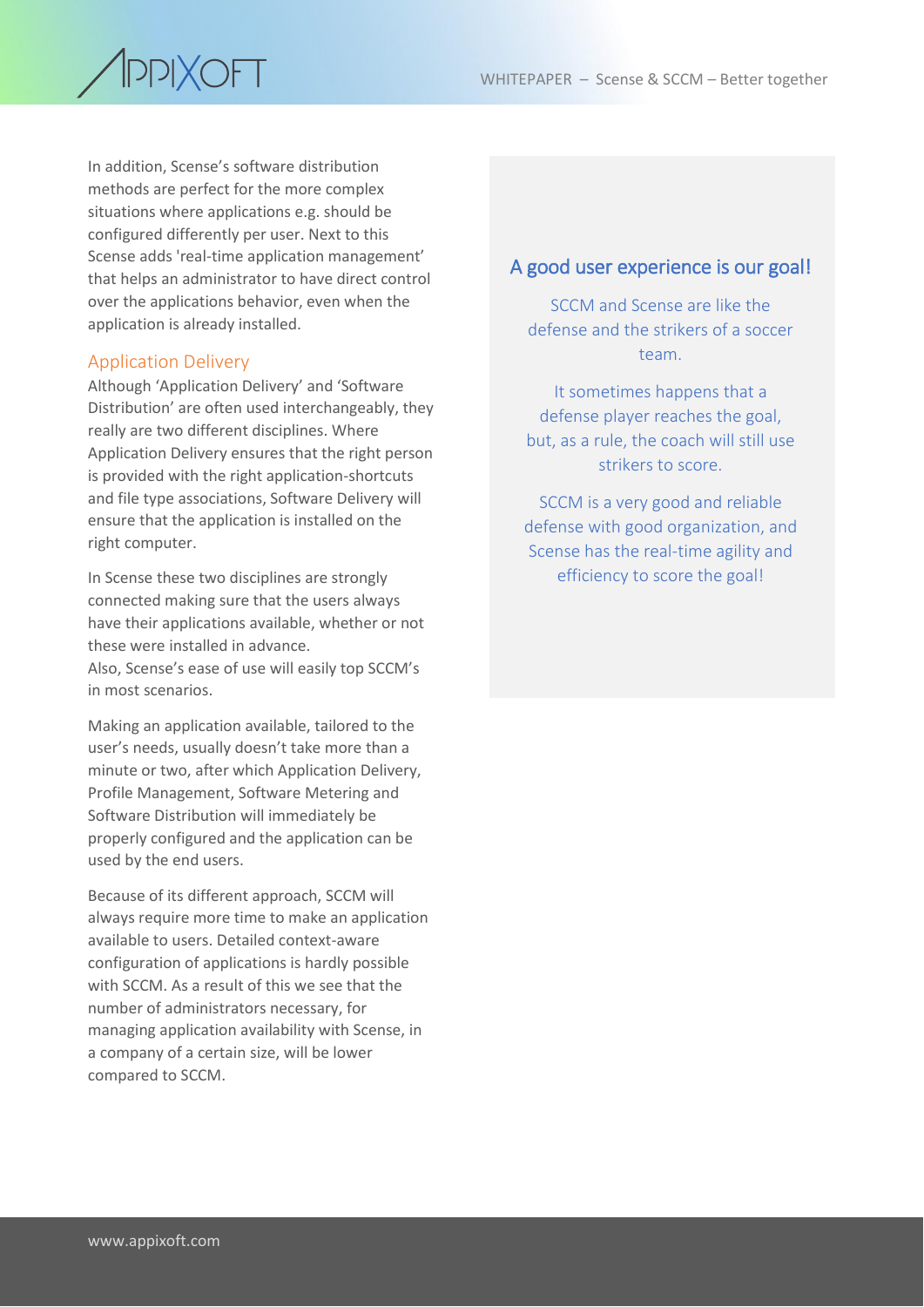

In addition, Scense's software distribution methods are perfect for the more complex situations where applications e.g. should be configured differently per user. Next to this Scense adds 'real-time application management' that helps an administrator to have direct control over the applications behavior, even when the application is already installed.

#### Application Delivery

Although 'Application Delivery' and 'Software Distribution' are often used interchangeably, they really are two different disciplines. Where Application Delivery ensures that the right person is provided with the right application-shortcuts and file type associations, Software Delivery will ensure that the application is installed on the right computer.

In Scense these two disciplines are strongly connected making sure that the users always have their applications available, whether or not these were installed in advance. Also, Scense's ease of use will easily top SCCM's in most scenarios.

Making an application available, tailored to the user's needs, usually doesn't take more than a minute or two, after which Application Delivery, Profile Management, Software Metering and Software Distribution will immediately be properly configured and the application can be used by the end users.

Because of its different approach, SCCM will always require more time to make an application available to users. Detailed context-aware configuration of applications is hardly possible with SCCM. As a result of this we see that the number of administrators necessary, for managing application availability with Scense, in a company of a certain size, will be lower compared to SCCM.

#### A good user experience is our goal!

SCCM and Scense are like the defense and the strikers of a soccer team.

It sometimes happens that a defense player reaches the goal, but, as a rule, the coach will still use strikers to score.

SCCM is a very good and reliable defense with good organization, and Scense has the real-time agility and efficiency to score the goal!